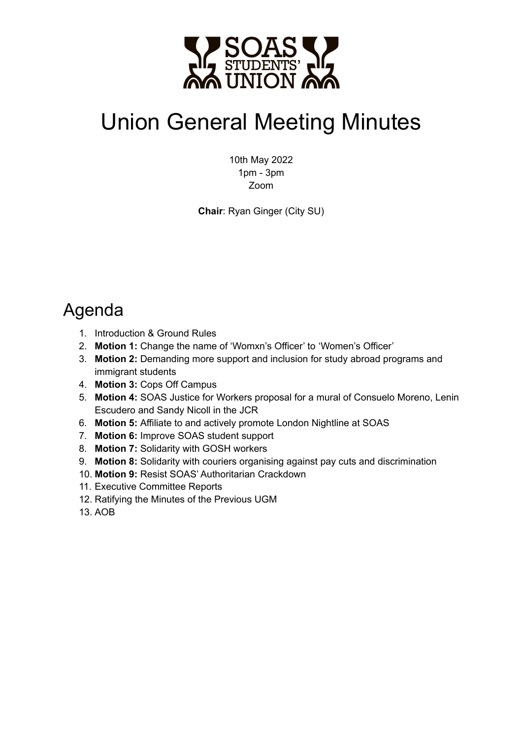

# Union General Meeting Minutes

10th May 2022 1pm - 3pm Zoom

**Chair**: Ryan Ginger (City SU)

# Agenda

- 1. Introduction & Ground Rules
- 2. **Motion 1:** Change the name of 'Womxn's Officer' to 'Women's Officer'
- 3. **Motion 2:** Demanding more support and inclusion for study abroad programs and immigrant students
- 4. **Motion 3:** Cops Off Campus
- 5. **Motion 4:** SOAS Justice for Workers proposal for a mural of Consuelo Moreno, Lenin Escudero and Sandy Nicoll in the JCR
- 6. **Motion 5:** Affiliate to and actively promote London Nightline at SOAS
- 7. **Motion 6:** Improve SOAS student support
- 8. **Motion 7:** Solidarity with GOSH workers
- 9. **Motion 8:** Solidarity with couriers organising against pay cuts and discrimination
- 10. **Motion 9:** Resist SOAS' Authoritarian Crackdown
- 11. Executive Committee Reports
- 12. Ratifying the Minutes of the Previous UGM
- 13. AOB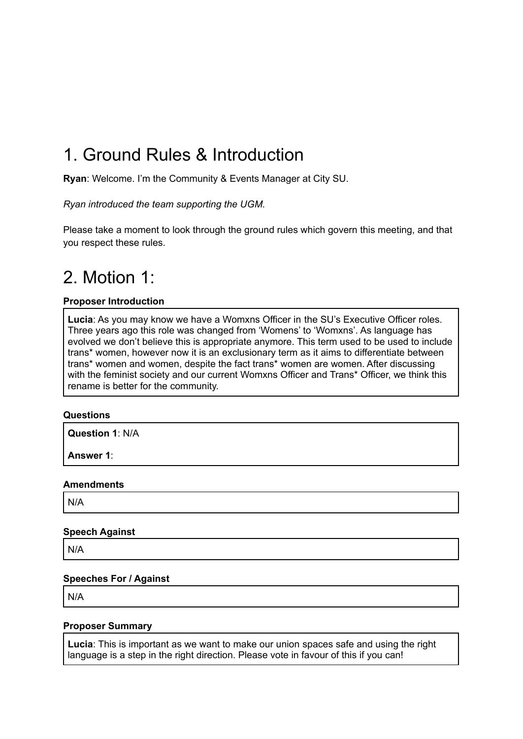# 1. Ground Rules & Introduction

**Ryan**: Welcome. I'm the Community & Events Manager at City SU.

*Ryan introduced the team supporting the UGM.*

Please take a moment to look through the ground rules which govern this meeting, and that you respect these rules.

# 2. Motion 1:

#### **Proposer Introduction**

**Lucia**: As you may know we have a Womxns Officer in the SU's Executive Officer roles. Three years ago this role was changed from 'Womens' to 'Womxns'. As language has evolved we don't believe this is appropriate anymore. This term used to be used to include trans\* women, however now it is an exclusionary term as it aims to differentiate between trans\* women and women, despite the fact trans\* women are women. After discussing with the feminist society and our current Womxns Officer and Trans\* Officer, we think this rename is better for the community.

#### **Questions**

**Question 1**: N/A

**Answer 1**:

#### **Amendments**

N/A

#### **Speech Against**

N/A

#### **Speeches For / Against**

N/A

#### **Proposer Summary**

**Lucia**: This is important as we want to make our union spaces safe and using the right language is a step in the right direction. Please vote in favour of this if you can!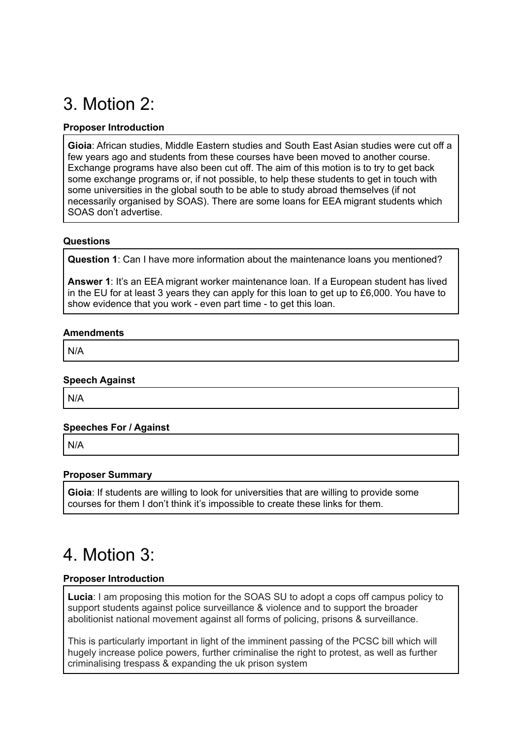# 3. Motion 2:

#### **Proposer Introduction**

**Gioia**: African studies, Middle Eastern studies and South East Asian studies were cut off a few years ago and students from these courses have been moved to another course. Exchange programs have also been cut off. The aim of this motion is to try to get back some exchange programs or, if not possible, to help these students to get in touch with some universities in the global south to be able to study abroad themselves (if not necessarily organised by SOAS). There are some loans for EEA migrant students which SOAS don't advertise.

#### **Questions**

**Question 1**: Can I have more information about the maintenance loans you mentioned?

**Answer 1**: It's an EEA migrant worker maintenance loan. If a European student has lived in the EU for at least 3 years they can apply for this loan to get up to £6,000. You have to show evidence that you work - even part time - to get this loan.

#### **Amendments**

N/A

#### **Speech Against**

N/A

#### **Speeches For / Against**

N/A

#### **Proposer Summary**

**Gioia**: If students are willing to look for universities that are willing to provide some courses for them I don't think it's impossible to create these links for them.

# 4. Motion 3:

#### **Proposer Introduction**

**Lucia**: I am proposing this motion for the SOAS SU to adopt a cops off campus policy to support students against police surveillance & violence and to support the broader abolitionist national movement against all forms of policing, prisons & surveillance.

This is particularly important in light of the imminent passing of the PCSC bill which will hugely increase police powers, further criminalise the right to protest, as well as further criminalising trespass & expanding the uk prison system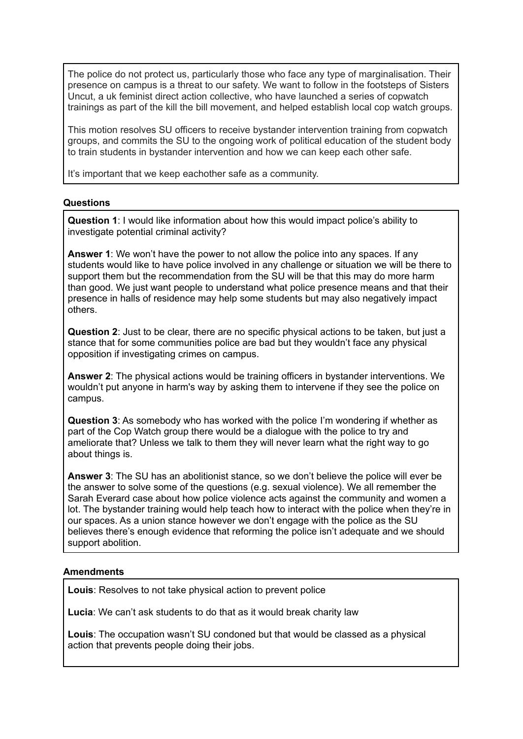The police do not protect us, particularly those who face any type of marginalisation. Their presence on campus is a threat to our safety. We want to follow in the footsteps of Sisters Uncut, a uk feminist direct action collective, who have launched a series of copwatch trainings as part of the kill the bill movement, and helped establish local cop watch groups.

This motion resolves SU officers to receive bystander intervention training from copwatch groups, and commits the SU to the ongoing work of political education of the student body to train students in bystander intervention and how we can keep each other safe.

It's important that we keep eachother safe as a community.

#### **Questions**

**Question 1**: I would like information about how this would impact police's ability to investigate potential criminal activity?

**Answer 1**: We won't have the power to not allow the police into any spaces. If any students would like to have police involved in any challenge or situation we will be there to support them but the recommendation from the SU will be that this may do more harm than good. We just want people to understand what police presence means and that their presence in halls of residence may help some students but may also negatively impact others.

**Question 2**: Just to be clear, there are no specific physical actions to be taken, but just a stance that for some communities police are bad but they wouldn't face any physical opposition if investigating crimes on campus.

**Answer 2**: The physical actions would be training officers in bystander interventions. We wouldn't put anyone in harm's way by asking them to intervene if they see the police on campus.

**Question 3**: As somebody who has worked with the police I'm wondering if whether as part of the Cop Watch group there would be a dialogue with the police to try and ameliorate that? Unless we talk to them they will never learn what the right way to go about things is.

**Answer 3**: The SU has an abolitionist stance, so we don't believe the police will ever be the answer to solve some of the questions (e.g. sexual violence). We all remember the Sarah Everard case about how police violence acts against the community and women a lot. The bystander training would help teach how to interact with the police when they're in our spaces. As a union stance however we don't engage with the police as the SU believes there's enough evidence that reforming the police isn't adequate and we should support abolition.

#### **Amendments**

**Louis**: Resolves to not take physical action to prevent police

**Lucia**: We can't ask students to do that as it would break charity law

**Louis**: The occupation wasn't SU condoned but that would be classed as a physical action that prevents people doing their jobs.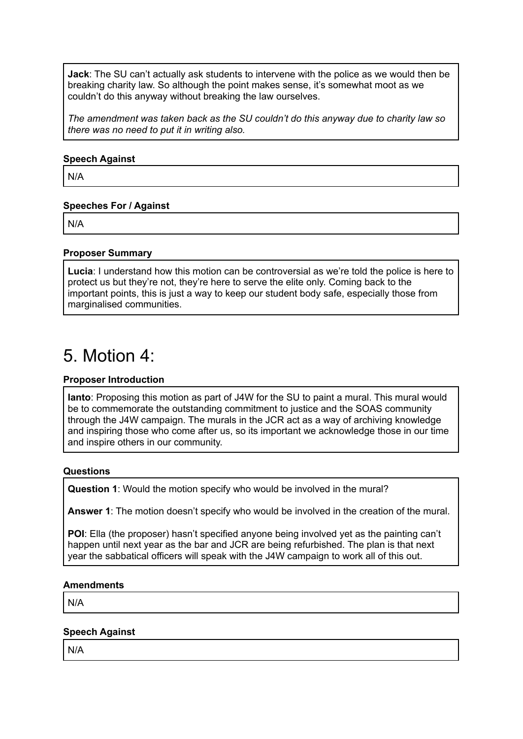**Jack**: The SU can't actually ask students to intervene with the police as we would then be breaking charity law. So although the point makes sense, it's somewhat moot as we couldn't do this anyway without breaking the law ourselves.

*The amendment was taken back as the SU couldn't do this anyway due to charity law so there was no need to put it in writing also.*

#### **Speech Against**

N/A

#### **Speeches For / Against**

N/A

#### **Proposer Summary**

**Lucia**: I understand how this motion can be controversial as we're told the police is here to protect us but they're not, they're here to serve the elite only. Coming back to the important points, this is just a way to keep our student body safe, especially those from marginalised communities.

### 5. Motion 4:

#### **Proposer Introduction**

**Ianto**: Proposing this motion as part of J4W for the SU to paint a mural. This mural would be to commemorate the outstanding commitment to justice and the SOAS community through the J4W campaign. The murals in the JCR act as a way of archiving knowledge and inspiring those who come after us, so its important we acknowledge those in our time and inspire others in our community.

#### **Questions**

**Question 1**: Would the motion specify who would be involved in the mural?

**Answer 1**: The motion doesn't specify who would be involved in the creation of the mural.

**POI**: Ella (the proposer) hasn't specified anyone being involved yet as the painting can't happen until next year as the bar and JCR are being refurbished. The plan is that next year the sabbatical officers will speak with the J4W campaign to work all of this out.

#### **Amendments**

N/A

#### **Speech Against**

N/A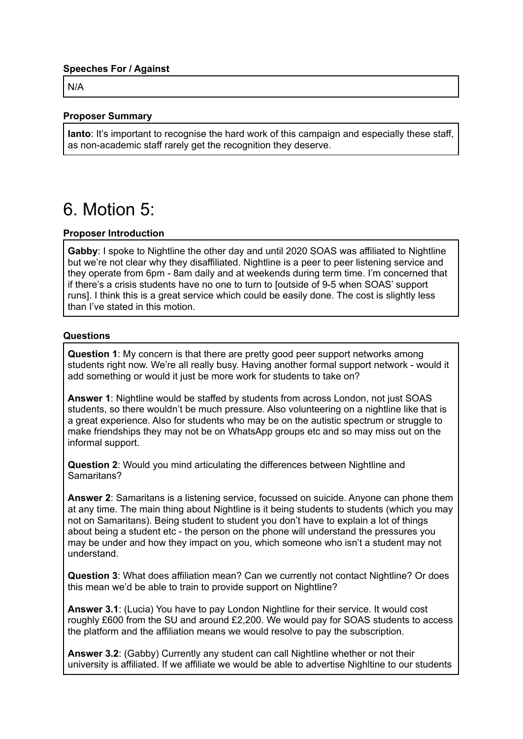#### **Speeches For / Against**

N/A

#### **Proposer Summary**

**Ianto**: It's important to recognise the hard work of this campaign and especially these staff, as non-academic staff rarely get the recognition they deserve.

### 6. Motion 5:

#### **Proposer Introduction**

**Gabby**: I spoke to Nightline the other day and until 2020 SOAS was affiliated to Nightline but we're not clear why they disaffiliated. Nightline is a peer to peer listening service and they operate from 6pm - 8am daily and at weekends during term time. I'm concerned that if there's a crisis students have no one to turn to [outside of 9-5 when SOAS' support runs]. I think this is a great service which could be easily done. The cost is slightly less than I've stated in this motion.

#### **Questions**

**Question 1**: My concern is that there are pretty good peer support networks among students right now. We're all really busy. Having another formal support network - would it add something or would it just be more work for students to take on?

**Answer 1**: Nightline would be staffed by students from across London, not just SOAS students, so there wouldn't be much pressure. Also volunteering on a nightline like that is a great experience. Also for students who may be on the autistic spectrum or struggle to make friendships they may not be on WhatsApp groups etc and so may miss out on the informal support.

**Question 2**: Would you mind articulating the differences between Nightline and Samaritans?

**Answer 2**: Samaritans is a listening service, focussed on suicide. Anyone can phone them at any time. The main thing about Nightline is it being students to students (which you may not on Samaritans). Being student to student you don't have to explain a lot of things about being a student etc - the person on the phone will understand the pressures you may be under and how they impact on you, which someone who isn't a student may not understand.

**Question 3**: What does affiliation mean? Can we currently not contact Nightline? Or does this mean we'd be able to train to provide support on Nightline?

**Answer 3.1**: (Lucia) You have to pay London Nightline for their service. It would cost roughly £600 from the SU and around £2,200. We would pay for SOAS students to access the platform and the affiliation means we would resolve to pay the subscription.

**Answer 3.2**: (Gabby) Currently any student can call Nightline whether or not their university is affiliated. If we affiliate we would be able to advertise Nighltine to our students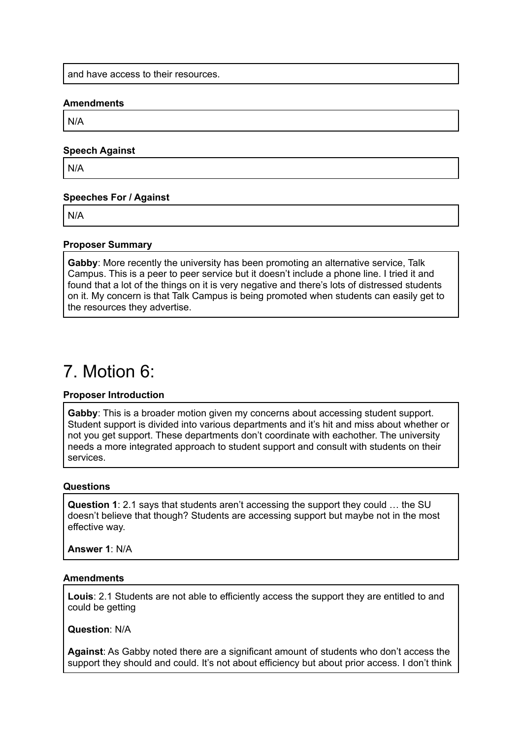and have access to their resources.

#### **Amendments**

N/A

#### **Speech Against**

N/A

#### **Speeches For / Against**

N/A

#### **Proposer Summary**

**Gabby**: More recently the university has been promoting an alternative service, Talk Campus. This is a peer to peer service but it doesn't include a phone line. I tried it and found that a lot of the things on it is very negative and there's lots of distressed students on it. My concern is that Talk Campus is being promoted when students can easily get to the resources they advertise.

### 7. Motion 6:

#### **Proposer Introduction**

**Gabby**: This is a broader motion given my concerns about accessing student support. Student support is divided into various departments and it's hit and miss about whether or not you get support. These departments don't coordinate with eachother. The university needs a more integrated approach to student support and consult with students on their services.

#### **Questions**

**Question 1**: 2.1 says that students aren't accessing the support they could … the SU doesn't believe that though? Students are accessing support but maybe not in the most effective way.

**Answer 1**: N/A

#### **Amendments**

**Louis**: 2.1 Students are not able to efficiently access the support they are entitled to and could be getting

**Question**: N/A

**Against**: As Gabby noted there are a significant amount of students who don't access the support they should and could. It's not about efficiency but about prior access. I don't think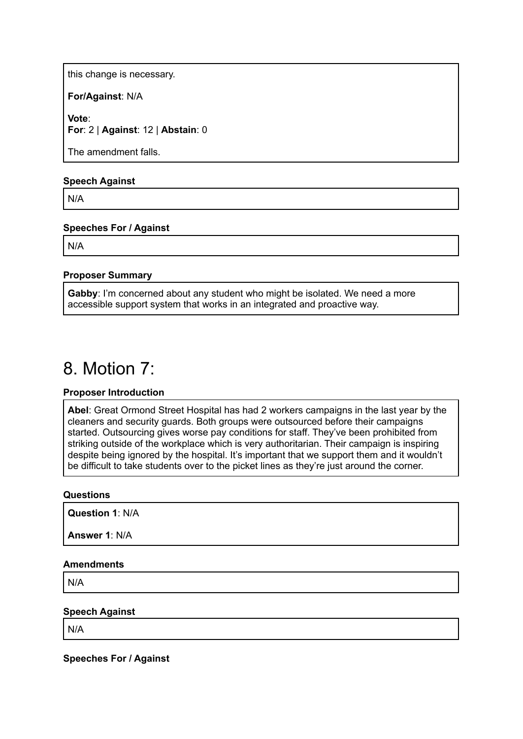this change is necessary.

**For/Against**: N/A

**Vote**: **For**: 2 | **Against**: 12 | **Abstain**: 0

The amendment falls.

#### **Speech Against**

N/A

#### **Speeches For / Against**

N/A

#### **Proposer Summary**

**Gabby**: I'm concerned about any student who might be isolated. We need a more accessible support system that works in an integrated and proactive way.

### 8. Motion 7:

#### **Proposer Introduction**

**Abel**: Great Ormond Street Hospital has had 2 workers campaigns in the last year by the cleaners and security guards. Both groups were outsourced before their campaigns started. Outsourcing gives worse pay conditions for staff. They've been prohibited from striking outside of the workplace which is very authoritarian. Their campaign is inspiring despite being ignored by the hospital. It's important that we support them and it wouldn't be difficult to take students over to the picket lines as they're just around the corner.

#### **Questions**

**Question 1**: N/A

**Answer 1**: N/A

#### **Amendments**

N/A

#### **Speech Against**

N/A

**Speeches For / Against**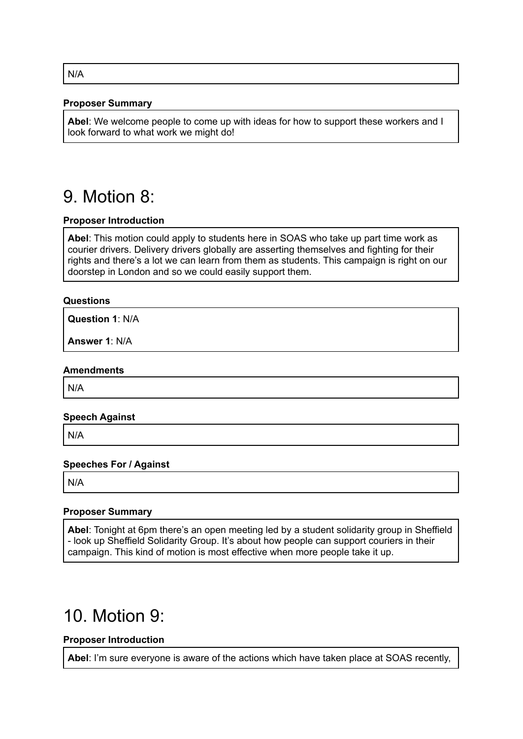#### **Proposer Summary**

**Abel**: We welcome people to come up with ideas for how to support these workers and I look forward to what work we might do!

### 9. Motion 8:

#### **Proposer Introduction**

**Abel**: This motion could apply to students here in SOAS who take up part time work as courier drivers. Delivery drivers globally are asserting themselves and fighting for their rights and there's a lot we can learn from them as students. This campaign is right on our doorstep in London and so we could easily support them.

#### **Questions**

**Question 1**: N/A

**Answer 1**: N/A

#### **Amendments**

N/A

#### **Speech Against**

N/A

#### **Speeches For / Against**

N/A

#### **Proposer Summary**

**Abel**: Tonight at 6pm there's an open meeting led by a student solidarity group in Sheffield - look up Sheffield Solidarity Group. It's about how people can support couriers in their campaign. This kind of motion is most effective when more people take it up.

### 10. Motion 9:

#### **Proposer Introduction**

**Abel**: I'm sure everyone is aware of the actions which have taken place at SOAS recently,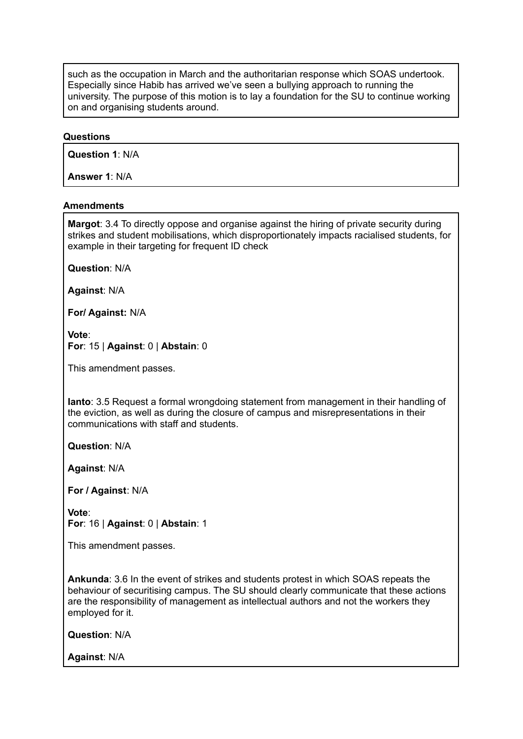such as the occupation in March and the authoritarian response which SOAS undertook. Especially since Habib has arrived we've seen a bullying approach to running the university. The purpose of this motion is to lay a foundation for the SU to continue working on and organising students around.

#### **Questions**

**Question 1**: N/A

**Answer 1**: N/A

#### **Amendments**

**Margot**: 3.4 To directly oppose and organise against the hiring of private security during strikes and student mobilisations, which disproportionately impacts racialised students, for example in their targeting for frequent ID check

**Question**: N/A

**Against**: N/A

**For/ Against:** N/A

**Vote**: **For**: 15 | **Against**: 0 | **Abstain**: 0

This amendment passes.

**Ianto**: 3.5 Request a formal wrongdoing statement from management in their handling of the eviction, as well as during the closure of campus and misrepresentations in their communications with staff and students.

**Question**: N/A

**Against**: N/A

**For / Against**: N/A

**Vote**: **For**: 16 | **Against**: 0 | **Abstain**: 1

This amendment passes.

**Ankunda**: 3.6 In the event of strikes and students protest in which SOAS repeats the behaviour of securitising campus. The SU should clearly communicate that these actions are the responsibility of management as intellectual authors and not the workers they employed for it.

**Question**: N/A

**Against**: N/A